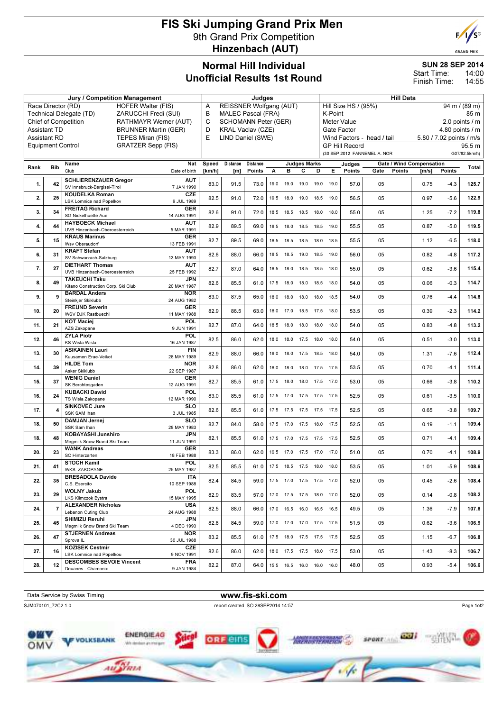## FIS Ski Jumping Grand Prix Men 9th Grand Prix Competition Hinzenbach (AUT)



|                                                       |                     |                                                           |                             |                           |        | <b>Unofficial Results 1st Round</b> |                 |           |      |                     |      |                       |                      |                              |                  | Start Time:<br>Finish Time:     |                          | 14.UU<br>14:55  |
|-------------------------------------------------------|---------------------|-----------------------------------------------------------|-----------------------------|---------------------------|--------|-------------------------------------|-----------------|-----------|------|---------------------|------|-----------------------|----------------------|------------------------------|------------------|---------------------------------|--------------------------|-----------------|
|                                                       |                     | Jury / Competition Management                             |                             |                           |        |                                     | Judges          |           |      |                     |      |                       |                      |                              | <b>Hill Data</b> |                                 |                          |                 |
| Race Director (RD)<br>HOFER Walter (FIS)<br>A         |                     |                                                           |                             |                           |        | REISSNER Wolfgang (AUT)             |                 |           |      |                     |      |                       | Hill Size HS / (95%) |                              |                  | $94 \text{ m} / (89 \text{ m})$ |                          |                 |
| ZARUCCHI Fredi (SUI)<br>Technical Delegate (TD)       |                     |                                                           |                             |                           | B      | <b>MALEC Pascal (FRA)</b>           |                 |           |      |                     |      | K-Point               |                      |                              |                  | 85 m                            |                          |                 |
|                                                       |                     | <b>Chief of Competition</b>                               |                             | RATHMAYR Werner (AUT)     | C.     | <b>SCHOMANN Peter (GER)</b>         |                 |           |      |                     |      |                       | Meter Value          |                              |                  |                                 |                          | 2.0 points $/m$ |
|                                                       | <b>Assistant TD</b> |                                                           | <b>BRUNNER Martin (GER)</b> |                           | D      | <b>KRAL Vaclav (CZE)</b>            |                 |           |      |                     |      | Gate Factor           |                      |                              |                  | 4.80 points $/$ m               |                          |                 |
| <b>Assistant RD</b><br>TEPES Miran (FIS)              |                     |                                                           |                             |                           | E      | LIND Daniel (SWE)                   |                 |           |      |                     |      |                       |                      | Wind Factors - head / tail   |                  |                                 | 5.80 / 7.02 points / m/s |                 |
| <b>Equipment Control</b><br><b>GRATZER Sepp (FIS)</b> |                     |                                                           |                             |                           |        |                                     |                 |           |      |                     |      | <b>GP Hill Record</b> |                      |                              |                  |                                 | 95.5 m                   |                 |
|                                                       |                     |                                                           |                             |                           |        |                                     |                 |           |      |                     |      |                       |                      | (30 SEP 2012 FANNEMEL A. NOR |                  |                                 |                          | G07/82.5km/h)   |
|                                                       |                     | Name                                                      | Nat                         |                           |        |                                     | <b>Distance</b> |           |      | <b>Judges Marks</b> |      |                       | Judges               |                              |                  | <b>Gate / Wind Compensation</b> |                          |                 |
| Rank                                                  | <b>Bib</b>          | Club                                                      |                             | Date of birth             | [km/h] | [m]                                 | <b>Points</b>   |           | в    | С                   | D    | E.                    | <b>Points</b>        | Gate                         | <b>Points</b>    | $\mathsf{[m/s]}$                | <b>Points</b>            | Total           |
| 1.                                                    | 42                  | <b>SCHLIERENZAUER Gregor</b>                              |                             | <b>AUT</b>                | 83.0   | 91.5                                | 73.0            | 19.0      | 19.0 | 19.0                | 19.0 | 19.0                  | 57.0                 | 05                           |                  | 0.75                            | $-4.3$                   | 125.7           |
|                                                       |                     | SV Innsbruck-Bergisel-Tirol                               |                             | 7 JAN 1990                |        |                                     |                 |           |      |                     |      |                       |                      |                              |                  |                                 |                          |                 |
| 2.                                                    | 25                  | <b>KOUDELKA Roman</b>                                     |                             | CZE                       | 82.5   | 91.0                                | 72.0            | 19.5      | 18.0 | 19.0                |      | 18.5 19.0             | 56.5                 | 05                           |                  | 0.97                            | $-5.6$                   | 122.9           |
|                                                       |                     | <b>LSK Lomnice nad Popelkov</b><br><b>FREITAG Richard</b> |                             | 9 JUL 1989<br><b>GER</b>  |        |                                     |                 |           |      |                     |      |                       |                      |                              |                  |                                 |                          |                 |
| 3.                                                    | 34                  | SG Nickelhuette Aue                                       |                             | 14 AUG 1991               | 82.6   | 91.0                                | 72.0            | 18.5      | 18.5 | 18.5                | 18.0 | 18.0                  | 55.0                 | 05                           |                  | 1.25                            | $-7.2$                   | 119.8           |
|                                                       |                     | <b>HAYBOECK Michael</b>                                   |                             | <b>AUT</b>                |        |                                     |                 |           |      |                     |      |                       |                      |                              |                  |                                 |                          |                 |
| 4.                                                    | 44                  | UVB Hinzenbach-Oberoesterreich                            |                             | 5 MAR 1991                | 82.9   | 89.5                                | 69.0            | 18.5      | 18.0 | 18.5                |      | 18.5 19.0             | 55.5                 | 05                           |                  | 0.87                            | $-5.0$                   | 119.5           |
|                                                       |                     | <b>KRAUS Marinus</b>                                      | <b>GER</b>                  |                           | 82.7   | 89.5                                | 69.0            |           | 18.5 | 18.5                |      |                       | 55.5                 |                              |                  | 1.12                            | $-6.5$                   | 118.0           |
| 5.                                                    | 15                  | Wsv Oberaudorf                                            |                             | 13 FEB 1991               |        |                                     |                 | 18.5      |      |                     |      | 18.0 18.5             |                      | 05                           |                  |                                 |                          |                 |
| 6.                                                    | 31                  | <b>KRAFT Stefan</b><br>SV Schwarzach-Salzburg             |                             | <b>AUT</b><br>13 MAY 1993 | 82.6   | 88.0                                | 66.0            | 18.5      | 18.5 | 19.0                |      | 18.5 19.0             | 56.0                 | 05                           |                  | 0.82                            | $-4.8$                   | 117.2           |
|                                                       | 27                  | <b>DIETHART Thomas</b>                                    |                             | <b>AUT</b>                | 827    | 87 O                                |                 | 64 0 18.5 |      | 18.0 18.5           |      | 18.5 18.0             | 550                  | 05                           |                  | 0.62                            | $-36$                    | 115.4           |
|                                                       |                     |                                                           |                             |                           |        |                                     |                 |           |      |                     |      |                       |                      |                              |                  |                                 |                          |                 |

| 6.  | 31             | <b>KRAFT Stefan</b>                                    | <b>AUT</b><br>13 MAY 1993 | 82.6 | 88.0 | 66.0 |      | 18.5 18.5 19.0 18.5          | 19.0 | 56.0 | 05 | 0.82 | $-4.8$ | 117.2 |
|-----|----------------|--------------------------------------------------------|---------------------------|------|------|------|------|------------------------------|------|------|----|------|--------|-------|
|     |                | SV Schwarzach-Salzburg<br><b>DIETHART Thomas</b>       |                           |      |      |      |      |                              |      |      |    |      |        |       |
| 7.  | 27             | UVB Hinzenbach-Oberoesterreich                         | AUT<br>25 FEB 1992        | 82.7 | 87.0 | 64.0 |      | 18.5 18.0 18.5 18.5          | 18.0 | 55.0 | 05 | 0.62 | $-3.6$ | 115.4 |
|     |                | <b>TAKEUCHI Taku</b>                                   | <b>JPN</b>                |      |      |      |      |                              |      |      |    |      |        |       |
| 8.  | 49             | Kitano Construction Corp. Ski Club                     | 20 MAY 1987               | 82.6 | 85.5 | 61.0 |      | 17.5 18.0 18.0 18.5          | 18.0 | 54.0 | 05 | 0.06 | $-0.3$ | 114.7 |
| 9.  | 9              | <b>BARDAL Anders</b>                                   | <b>NOR</b>                | 83.0 | 87.5 | 65.0 |      | 18.0 18.0 18.0 18.0          | 18.5 | 54.0 | 05 | 0.76 | $-4.4$ | 114.6 |
|     |                | Steinkjer Skiklubb                                     | 24 AUG 1982               |      |      |      |      |                              |      |      |    |      |        |       |
| 10. | 20             | <b>FREUND Severin</b>                                  | <b>GER</b>                | 82.9 | 86.5 | 63.0 |      | 18.0 17.0 18.5 17.5 18.0     |      | 53.5 | 05 | 0.39 | $-2.3$ | 114.2 |
|     |                | <b>WSV DJK Rastbuechl</b>                              | 11 MAY 1988               |      |      |      |      |                              |      |      |    |      |        |       |
| 11. | 21             | <b>KOT Maciej</b>                                      | POL                       | 82.7 | 87.0 | 64.0 |      | 18.5 18.0 18.0 18.0          | 18.0 | 54.0 | 05 | 0.83 | $-4.8$ | 113.2 |
|     |                | AZS Zakopane<br><b>ZYLA Piotr</b>                      | 9 JUN 1991<br>POL         |      |      |      |      |                              |      |      |    |      |        |       |
| 12. | 46             | <b>KS Wisla Wisla</b>                                  | 16 JAN 1987               | 82.5 | 86.0 | 62.0 | 18.0 | 18.0 17.5 18.0               | 18.0 | 54.0 | 05 | 0.51 | $-3.0$ | 113.0 |
|     |                | <b>ASIKAINEN Lauri</b>                                 | <b>FIN</b>                |      |      |      |      |                              |      |      |    |      |        |       |
| 13. | 30             | Kuusamon Erae-Veikot                                   | 28 MAY 1989               | 82.9 | 88.0 | 66.0 |      | 18.0 18.0 17.5 18.5          | 18.0 | 54.0 | 05 | 1.31 | $-7.6$ | 112.4 |
|     |                | <b>HILDE Tom</b>                                       | <b>NOR</b>                |      |      |      |      |                              |      |      |    |      |        |       |
| 14. | 39             | Asker Skiklubb                                         | 22 SEP 1987               | 82.8 | 86.0 | 62.0 |      | 18.0  18.0  18.0  17.5  17.5 |      | 53.5 | 05 | 0.70 | $-4.1$ | 111.4 |
|     | 37             | <b>WENIG Daniel</b>                                    | <b>GER</b>                |      |      |      |      |                              |      |      |    |      |        | 110.2 |
| 15. |                | SK Berchtesgaden                                       | 12 AUG 1991               | 82.7 | 85.5 | 61.0 |      | 17.5 18.0 18.0 17.5 17.0     |      | 53.0 | 05 | 0.66 | $-3.8$ |       |
| 16. | 24             | <b>KUBACKI Dawid</b>                                   | POL                       | 83.0 | 85.5 | 61.0 |      | 17.5 17.0 17.5 17.5 17.5     |      | 52.5 | 05 | 0.61 | $-3.5$ | 110.0 |
|     |                | TS Wisla Zakopane                                      | 12 MAR 1990               |      |      |      |      |                              |      |      |    |      |        |       |
| 17. | 4              | <b>SINKOVEC Jure</b>                                   | <b>SLO</b>                | 82.6 | 85.5 | 61.0 |      | 17.5 17.5 17.5 17.5          | 17.5 | 52.5 | 05 | 0.65 | $-3.8$ | 109.7 |
|     |                | <b>SSK SAM Ihan</b>                                    | 3 JUL 1985                |      |      |      |      |                              |      |      |    |      |        |       |
| 18. | 50             | <b>DAMJAN Jernej</b>                                   | <b>SLO</b>                | 82.7 | 84.0 | 58.0 |      | 17.5 17.0 17.5 18.0 17.5     |      | 52.5 | 05 | 0.19 | $-1.1$ | 109.4 |
|     |                | SSK Sam Ihan<br><b>KOBAYASHI Junshiro</b>              | 28 MAY 1983               |      |      |      |      |                              |      |      |    |      |        |       |
| 18. | 48             | Megmilk Snow Brand Ski Team                            | <b>JPN</b><br>11 JUN 1991 | 82.1 | 85.5 | 61.0 |      | 17.5 17.0 17.5 17.5 17.5     |      | 52.5 | 05 | 0.71 | $-4.1$ | 109.4 |
|     |                | <b>WANK Andreas</b>                                    | <b>GER</b>                |      |      |      |      |                              |      |      |    |      |        |       |
| 20. | 23             | SC Hinterzarten                                        | 18 FEB 1988               | 83.3 | 86.0 | 62.0 |      | 16.5 17.0 17.5 17.0 17.0     |      | 51.0 | 05 | 0.70 | $-4.1$ | 108.9 |
|     |                | <b>STOCH Kamil</b>                                     | POL                       |      |      |      |      |                              |      |      |    |      |        |       |
| 21. | 41             | <b>WKS ZAKOPANE</b>                                    | 25 MAY 1987               | 82.5 | 85.5 | 61.0 |      | 17.5  18.5  17.5  18.0       | 18.0 | 53.5 | 05 | 1.01 | $-5.9$ | 108.6 |
| 22. | 35             | <b>BRESADOLA Davide</b>                                | <b>ITA</b>                |      |      |      |      |                              |      |      |    |      |        | 108.4 |
|     |                | C.S. Esercito                                          | 10 SEP 1988               | 82.4 | 84.5 | 59.0 |      | 17.5 17.0 17.5 17.5 17.0     |      | 52.0 | 05 | 0.45 | $-2.6$ |       |
| 23. | 29             | <b>WOLNY Jakub</b>                                     | POL                       | 82.9 | 83.5 | 57.0 |      | 17.0 17.5 17.5 18.0 17.0     |      | 52.0 | 05 | 0.14 | $-0.8$ | 108.2 |
|     |                | LKS Klimczok Bystra                                    | 15 MAY 1995               |      |      |      |      |                              |      |      |    |      |        |       |
| 24. | $\overline{7}$ | <b>ALEXANDER Nicholas</b>                              | <b>USA</b>                | 82.5 | 88.0 | 66.0 |      | 17.0  16.5  16.0  16.5  16.5 |      | 49.5 | 05 | 1.36 | $-7.9$ | 107.6 |
|     |                | Lebanon Outing Club                                    | 24 AUG 1988               |      |      |      |      |                              |      |      |    |      |        |       |
| 25. | 45             | <b>SHIMIZU Reruhi</b>                                  | <b>JPN</b>                | 82.8 | 84.5 | 59.0 |      | 17.0 17.0 17.0 17.5 17.5     |      | 51.5 | 05 | 0.62 | $-3.6$ | 106.9 |
|     |                | Megmilk Snow Brand Ski Team<br><b>STJERNEN Andreas</b> | 4 DEC 1993<br><b>NOR</b>  |      |      |      |      |                              |      |      |    |      |        |       |
| 26. | 47             | Sprova IL                                              | 30 JUL 1988               | 83.2 | 85.5 | 61.0 |      | 17.5  18.0  17.5  17.5  17.5 |      | 52.5 | 05 | 1.15 | $-6.7$ | 106.8 |
|     |                | <b>KOZISEK Cestmir</b>                                 | <b>CZE</b>                |      |      |      |      |                              |      |      |    |      |        |       |
| 27. | 16             | LSK Lomnice nad Popelkou                               | 9 NOV 1991                | 82.6 | 86.0 | 62.0 |      | 18.0 17.5 17.5 18.0 17.5     |      | 53.0 | 05 | 1.43 | $-8.3$ | 106.7 |
|     |                | <b>DESCOMBES SEVOIE Vincent</b>                        | <b>FRA</b>                |      |      |      |      |                              |      |      |    |      |        |       |
| 28. | 12             | Douanes - Chamonix                                     | 9 JAN 1984                | 82.2 | 87.0 | 64.0 |      | 15.5 16.5 16.0 16.0          | 16.0 | 48.0 | 05 | 0.93 | $-5.4$ | 106.6 |
|     |                |                                                        |                           |      |      |      |      |                              |      |      |    |      |        |       |



ä

Au Stan

SUN 28 SEP 2014

14:00 14:55 Start Time: